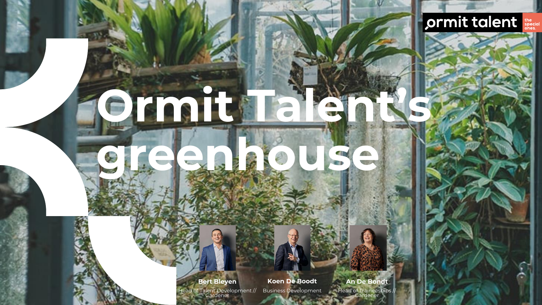#### ormit talent

**Bert Bleyen** Head of Talent Development //

**Ormit Talent's** 

**greenhouse**

Gardener

**Koen De Boodt** Business Development

Head of Traineeships // Gardener

**An De Bondt**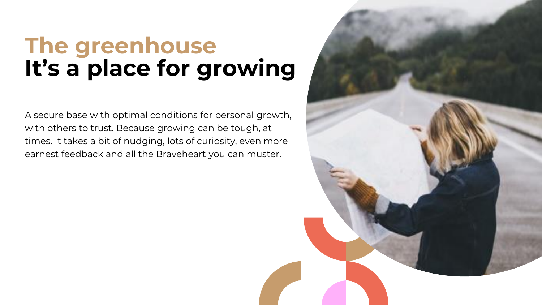#### **The greenhouse It's a place for growing**

A secure base with optimal conditions for personal growth, with others to trust. Because growing can be tough, at times. It takes a bit of nudging, lots of curiosity, even more earnest feedback and all the Braveheart you can muster.

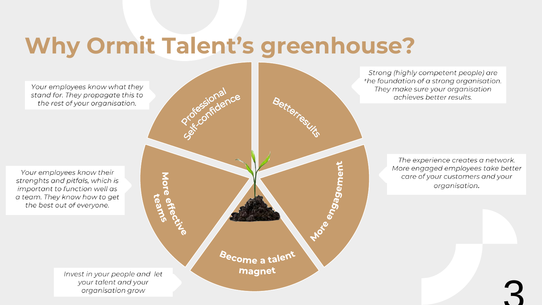## **Why Ormit Talent's greenhouse?**

Your employees know what they stand for. They propagate this to the rest of your organisation.

Your employees know their strenghts and pitfals, which is important to function well as a team. They know how to get the best out of everyone.

Zocense More effe<br>More effe tean *B***ecome** a talent magnet

Strong (highly competent people) are the foundation of a strong organisation. They make sure your organisation achieves better results.

> The experience creates a network. More engaged employees take better care of your customers and your organisation.

> > 3

Invest in your people and let your talent and your organisation grow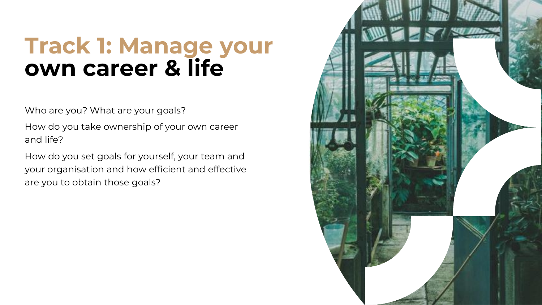#### **Track 1: Manage your own career & life**

Who are you? What are your goals?

How do you take ownership of your own career and life?

How do you set goals for yourself, your team and your organisation and how efficient and effective are you to obtain those goals?

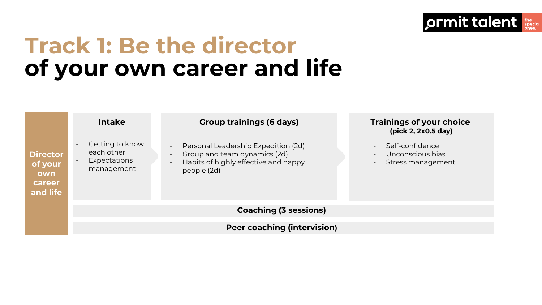#### **Track 1: Be the director of your own career and life**



ormit talent special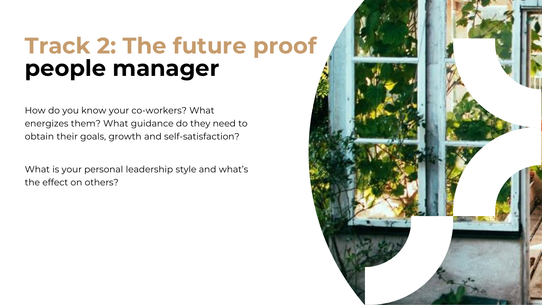### **Track 2: The future proof people manager**

How do you know your co-workers? What energizes them? What guidance do they need to obtain their goals, growth and self-satisfaction?

What is your personal leadership style and what's the effect on others?

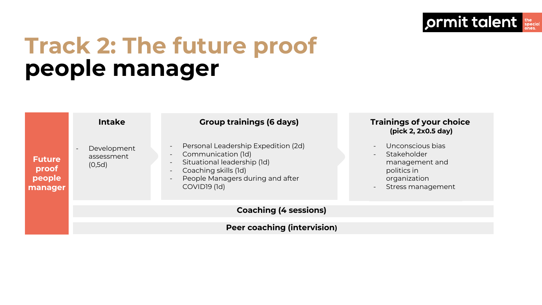#### **Track 2: The future proof people manager**

|                                             | <b>Intake</b>                                                   | <b>Group trainings (6 days)</b>                                                                                                                                                                                                                                                                                              | Trainings of your choice<br>(pick 2, 2x0.5 day)                                                                                                                           |
|---------------------------------------------|-----------------------------------------------------------------|------------------------------------------------------------------------------------------------------------------------------------------------------------------------------------------------------------------------------------------------------------------------------------------------------------------------------|---------------------------------------------------------------------------------------------------------------------------------------------------------------------------|
| <b>Future</b><br>proof<br>people<br>manager | Development<br>$\overline{\phantom{0}}$<br>assessment<br>(0,5d) | Personal Leadership Expedition (2d)<br>$\overline{\phantom{a}}$<br>Communication (1d)<br>$\overline{\phantom{a}}$<br>Situational leadership (1d)<br>$\overline{\phantom{a}}$<br>Coaching skills (1d)<br>$\overline{\phantom{a}}$<br>People Managers during and after<br>$\overline{\phantom{a}}$<br>COVID <sub>19</sub> (1d) | Unconscious bias<br>$\equiv$<br>Stakeholder<br>$\overline{\phantom{a}}$<br>management and<br>politics in<br>organization<br>Stress management<br>$\overline{\phantom{a}}$ |
|                                             | <b>Coaching (4 sessions)</b>                                    |                                                                                                                                                                                                                                                                                                                              |                                                                                                                                                                           |
|                                             |                                                                 |                                                                                                                                                                                                                                                                                                                              |                                                                                                                                                                           |
|                                             | <b>Peer coaching (intervision)</b>                              |                                                                                                                                                                                                                                                                                                                              |                                                                                                                                                                           |

ormit talent